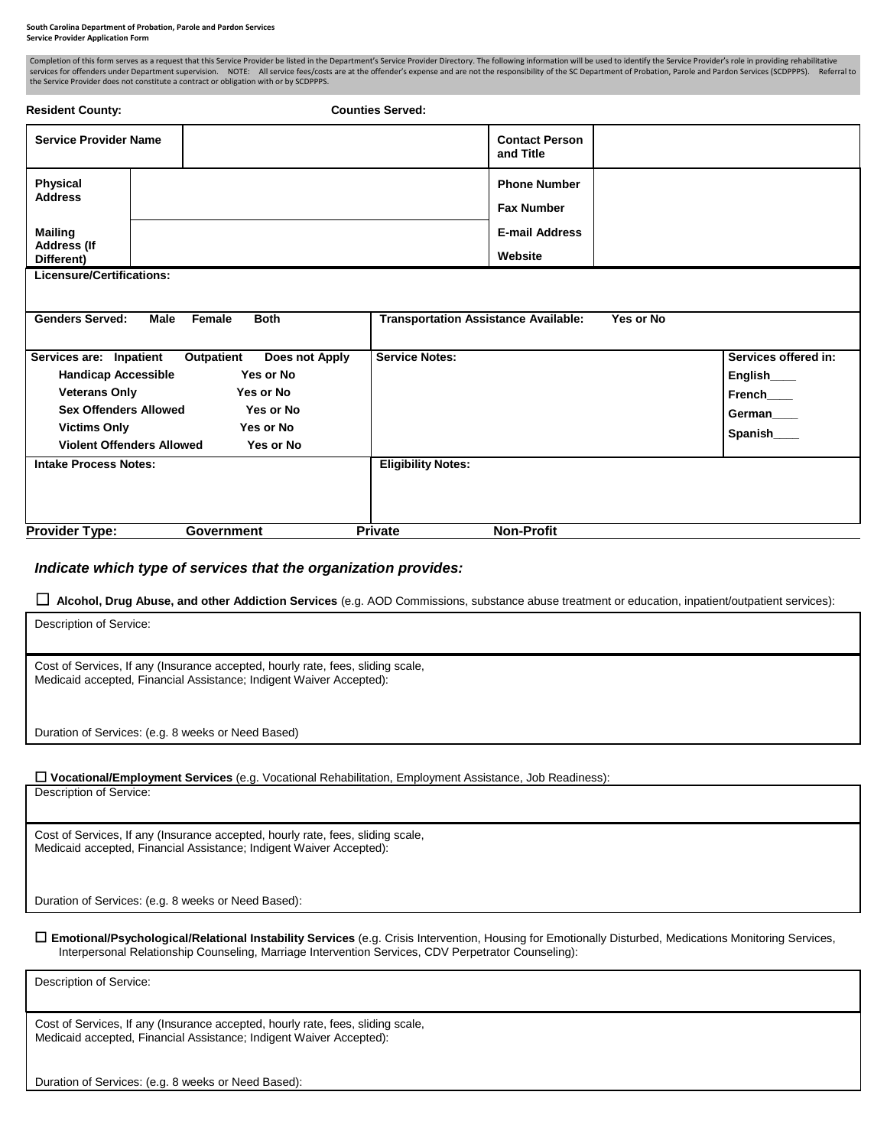## **South Carolina Department of Probation, Parole and Pardon Services Service Provider Application Form**

| Completion of this form serves as a request that this Service Provider be listed in the Department's Service Provider Directory. The following information will be used to identify the Service Provider's role in providing r<br>services for offenders under Department supervision. NOTE: All service fees/costs are at the offender's expense and are not the responsibility of the SC Department of Probation, Parole and Pardon Services (SCDPPPS). Referr<br>the Service Provider does not constitute a contract or obligation with or by SCDPPPS. |                                             |                                                                              |           |                                                                       |
|-----------------------------------------------------------------------------------------------------------------------------------------------------------------------------------------------------------------------------------------------------------------------------------------------------------------------------------------------------------------------------------------------------------------------------------------------------------------------------------------------------------------------------------------------------------|---------------------------------------------|------------------------------------------------------------------------------|-----------|-----------------------------------------------------------------------|
| <b>Resident County:</b>                                                                                                                                                                                                                                                                                                                                                                                                                                                                                                                                   | <b>Counties Served:</b>                     |                                                                              |           |                                                                       |
| <b>Service Provider Name</b>                                                                                                                                                                                                                                                                                                                                                                                                                                                                                                                              |                                             | <b>Contact Person</b><br>and Title                                           |           |                                                                       |
| <b>Physical</b><br><b>Address</b><br><b>Mailing</b><br><b>Address (If</b><br>Different)                                                                                                                                                                                                                                                                                                                                                                                                                                                                   |                                             | <b>Phone Number</b><br><b>Fax Number</b><br><b>E-mail Address</b><br>Website |           |                                                                       |
| Licensure/Certifications:                                                                                                                                                                                                                                                                                                                                                                                                                                                                                                                                 |                                             |                                                                              |           |                                                                       |
| <b>Genders Served:</b><br><b>Male</b><br><b>Both</b><br>Female                                                                                                                                                                                                                                                                                                                                                                                                                                                                                            | <b>Transportation Assistance Available:</b> |                                                                              | Yes or No |                                                                       |
| Services are: Inpatient<br><b>Outpatient</b><br>Does not Apply<br>Yes or No<br><b>Handicap Accessible</b><br><b>Veterans Only</b><br>Yes or No<br><b>Sex Offenders Allowed</b><br>Yes or No<br>Yes or No<br><b>Victims Only</b><br><b>Violent Offenders Allowed</b><br>Yes or No                                                                                                                                                                                                                                                                          | <b>Service Notes:</b>                       |                                                                              |           | Services offered in:<br>English____<br>French<br>German<br>Spanish___ |
| <b>Intake Process Notes:</b><br><b>Provider Type:</b><br><b>Government</b>                                                                                                                                                                                                                                                                                                                                                                                                                                                                                | <b>Eligibility Notes:</b><br><b>Private</b> | <b>Non-Profit</b>                                                            |           |                                                                       |

## *Indicate which type of services that the organization provides:*

□ Alcohol, Drug Abuse, and other Addiction Services (e.g. AOD Commissions, substance abuse treatment or education, inpatient/outpatient services):

| Description of Service:                                                                                                                                |
|--------------------------------------------------------------------------------------------------------------------------------------------------------|
| Cost of Services, If any (Insurance accepted, hourly rate, fees, sliding scale,<br>Medicaid accepted, Financial Assistance; Indigent Waiver Accepted): |
| Duration of Services: (e.g. 8 weeks or Need Based)                                                                                                     |

## ☐ **Vocational/Employment Services** (e.g. Vocational Rehabilitation, Employment Assistance, Job Readiness):

Description of Service:

Cost of Services, If any (Insurance accepted, hourly rate, fees, sliding scale, Medicaid accepted, Financial Assistance; Indigent Waiver Accepted):

Duration of Services: (e.g. 8 weeks or Need Based):

☐ **Emotional/Psychological/Relational Instability Services** (e.g. Crisis Intervention, Housing for Emotionally Disturbed, Medications Monitoring Services, Interpersonal Relationship Counseling, Marriage Intervention Services, CDV Perpetrator Counseling):

Description of Service:

Cost of Services, If any (Insurance accepted, hourly rate, fees, sliding scale, Medicaid accepted, Financial Assistance; Indigent Waiver Accepted):

Duration of Services: (e.g. 8 weeks or Need Based):